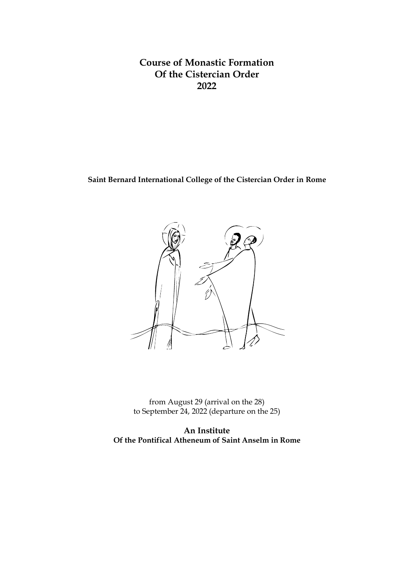# **Course of Monastic Formation Of the Cistercian Order 2022**

# **Saint Bernard International College of the Cistercian Order in Rome**



from August 29 (arrival on the 28) to September 24, 2022 (departure on the 25)

**An Institute Of the Pontifical Atheneum of Saint Anselm in Rome**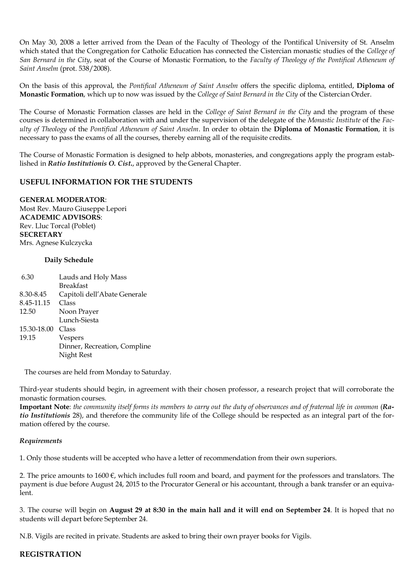On May 30, 2008 a letter arrived from the Dean of the Faculty of Theology of the Pontifical University of St. Anselm which stated that the Congregation for Catholic Education has connected the Cistercian monastic studies of the *College of San Bernard in the City*, seat of the Course of Monastic Formation, to the *Faculty of Theology of the Pontifical Atheneum of Saint Anselm* (prot. 538/2008).

On the basis of this approval, the *Pontifical Atheneum of Saint Anselm* offers the specific diploma, entitled, **Diploma of Monastic Formation**, which up to now was issued by the *College of Saint Bernard in the City* of the Cistercian Order.

The Course of Monastic Formation classes are held in the *College of Saint Bernard in the City* and the program of these courses is determined in collaboration with and under the supervision of the delegate of the *Monastic Institute* of the *Faculty of Theology* of the *Pontifical Atheneum of Saint Anselm*. In order to obtain the **Diploma of Monastic Formation**, it is necessary to pass the exams of all the courses, thereby earning all of the requisite credits.

The Course of Monastic Formation is designed to help abbots, monasteries, and congregations apply the program established in *Ratio Institutionis O. Cist***.**, approved by the General Chapter.

## **USEFUL INFORMATION FOR THE STUDENTS**

**GENERAL MODERATOR**: Most Rev. Mauro Giuseppe Lepori **ACADEMIC ADVISORS**: Rev. Lluc Torcal (Poblet) **SECRETARY** Mrs. Agnese Kulczycka

### **Daily Schedule**

| Dinner, Recreation, Compline |
|------------------------------|
|                              |
|                              |

The courses are held from Monday to Saturday.

Third-year students should begin, in agreement with their chosen professor, a research project that will corroborate the monastic formation courses.

**Important Note**: *the community itself forms its members to carry out the duty of observances and of fraternal life in common* (*Ratio Institutionis* 28), and therefore the community life of the College should be respected as an integral part of the formation offered by the course.

#### *Requirements*

1. Only those students will be accepted who have a letter of recommendation from their own superiors.

2. The price amounts to  $1600 \text{ }\epsilon$ , which includes full room and board, and payment for the professors and translators. The payment is due before August 24, 2015 to the Procurator General or his accountant, through a bank transfer or an equivalent.

3. The course will begin on **August 29 at 8:30 in the main hall and it will end on September 24**. It is hoped that no students will depart before September 24.

N.B. Vigils are recited in private. Students are asked to bring their own prayer books for Vigils.

### **REGISTRATION**